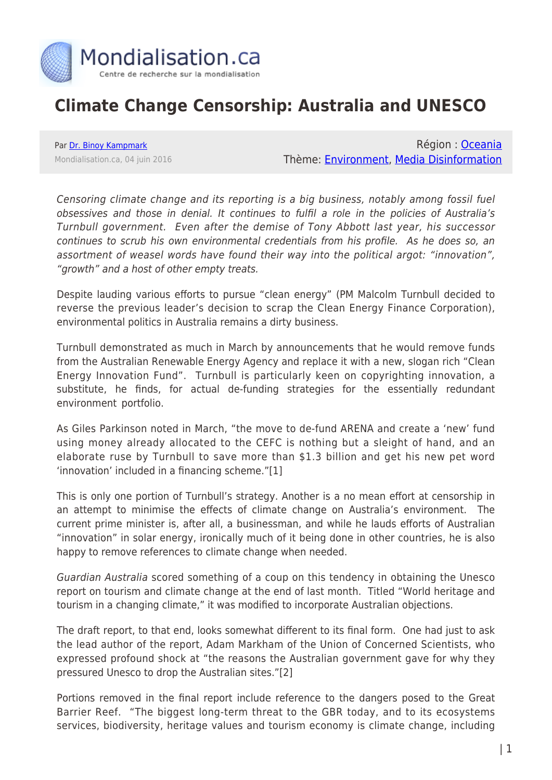

## **Climate Change Censorship: Australia and UNESCO**

Par [Dr. Binoy Kampmark](https://www.mondialisation.ca/author/binoy-kampmark) Mondialisation.ca, 04 juin 2016

Région : [Oceania](https://www.mondialisation.ca/region/oceania) Thème: [Environment](https://www.mondialisation.ca/theme/environment), [Media Disinformation](https://www.mondialisation.ca/theme/media-disinformation)

Censoring climate change and its reporting is a big business, notably among fossil fuel obsessives and those in denial. It continues to fulfil a role in the policies of Australia's Turnbull government. Even after the demise of Tony Abbott last year, his successor continues to scrub his own environmental credentials from his profile. As he does so, an assortment of weasel words have found their way into the political argot: "innovation", "growth" and a host of other empty treats.

Despite lauding various efforts to pursue "clean energy" (PM Malcolm Turnbull decided to reverse the previous leader's decision to scrap the Clean Energy Finance Corporation), environmental politics in Australia remains a dirty business.

Turnbull demonstrated as much in March by announcements that he would remove funds from the Australian Renewable Energy Agency and replace it with a new, slogan rich "Clean Energy Innovation Fund". Turnbull is particularly keen on copyrighting innovation, a substitute, he finds, for actual de-funding strategies for the essentially redundant environment portfolio.

As Giles Parkinson noted in March, "the move to de-fund ARENA and create a 'new' fund using money already allocated to the CEFC is nothing but a sleight of hand, and an elaborate ruse by Turnbull to save more than \$1.3 billion and get his new pet word 'innovation' included in a financing scheme."[1]

This is only one portion of Turnbull's strategy. Another is a no mean effort at censorship in an attempt to minimise the effects of climate change on Australia's environment. The current prime minister is, after all, a businessman, and while he lauds efforts of Australian "innovation" in solar energy, ironically much of it being done in other countries, he is also happy to remove references to climate change when needed.

Guardian Australia scored something of a coup on this tendency in obtaining the Unesco report on tourism and climate change at the end of last month. Titled "World heritage and tourism in a changing climate," it was modified to incorporate Australian objections.

The draft report, to that end, looks somewhat different to its final form. One had just to ask the lead author of the report, Adam Markham of the Union of Concerned Scientists, who expressed profound shock at "the reasons the Australian government gave for why they pressured Unesco to drop the Australian sites."[2]

Portions removed in the final report include reference to the dangers posed to the Great Barrier Reef. "The biggest long-term threat to the GBR today, and to its ecosystems services, biodiversity, heritage values and tourism economy is climate change, including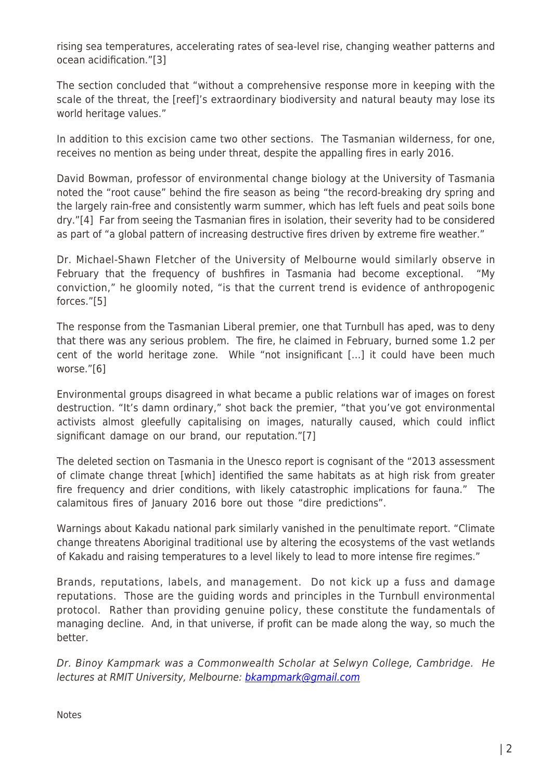rising sea temperatures, accelerating rates of sea-level rise, changing weather patterns and ocean acidification."[3]

The section concluded that "without a comprehensive response more in keeping with the scale of the threat, the [reef]'s extraordinary biodiversity and natural beauty may lose its world heritage values."

In addition to this excision came two other sections. The Tasmanian wilderness, for one, receives no mention as being under threat, despite the appalling fires in early 2016.

David Bowman, professor of environmental change biology at the University of Tasmania noted the "root cause" behind the fire season as being "the record-breaking dry spring and the largely rain-free and consistently warm summer, which has left fuels and peat soils bone dry."[4] Far from seeing the Tasmanian fires in isolation, their severity had to be considered as part of "a global pattern of increasing destructive fires driven by extreme fire weather."

Dr. Michael-Shawn Fletcher of the University of Melbourne would similarly observe in February that the frequency of bushfires in Tasmania had become exceptional. "My conviction," he gloomily noted, "is that the current trend is evidence of anthropogenic forces."[5]

The response from the Tasmanian Liberal premier, one that Turnbull has aped, was to deny that there was any serious problem. The fire, he claimed in February, burned some 1.2 per cent of the world heritage zone. While "not insignificant […] it could have been much worse."[6]

Environmental groups disagreed in what became a public relations war of images on forest destruction. "It's damn ordinary," shot back the premier, "that you've got environmental activists almost gleefully capitalising on images, naturally caused, which could inflict significant damage on our brand, our reputation."[7]

The deleted section on Tasmania in the Unesco report is cognisant of the "2013 assessment of climate change threat [which] identified the same habitats as at high risk from greater fire frequency and drier conditions, with likely catastrophic implications for fauna." The calamitous fires of January 2016 bore out those "dire predictions".

Warnings about Kakadu national park similarly vanished in the penultimate report. "Climate change threatens Aboriginal traditional use by altering the ecosystems of the vast wetlands of Kakadu and raising temperatures to a level likely to lead to more intense fire regimes."

Brands, reputations, labels, and management. Do not kick up a fuss and damage reputations. Those are the guiding words and principles in the Turnbull environmental protocol. Rather than providing genuine policy, these constitute the fundamentals of managing decline. And, in that universe, if profit can be made along the way, so much the better.

Dr. Binoy Kampmark was a Commonwealth Scholar at Selwyn College, Cambridge. He lectures at RMIT University, Melbourne: [bkampmark@gmail.com](mailto:bkampmark@gmail.com)